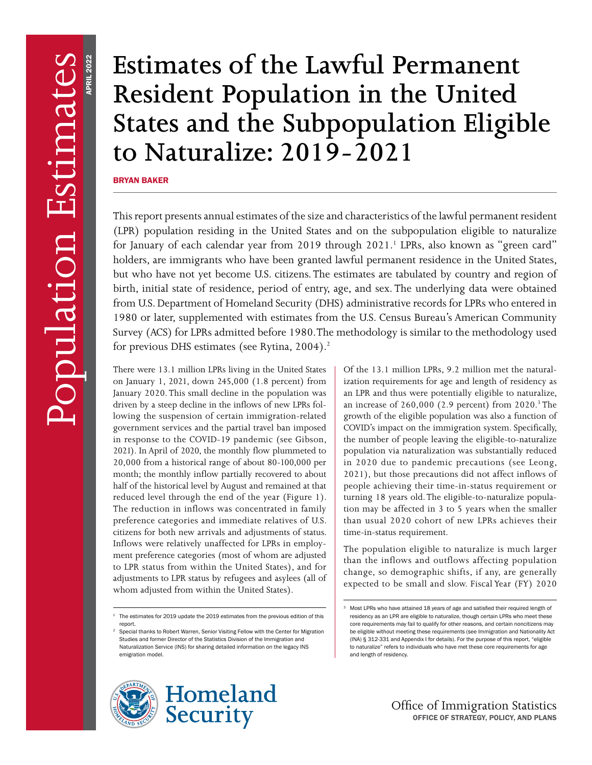# **Resident Population in the United States and the Subpopulation Eligible to Naturalize: 2019-2021**

BRYAN BAKER

Estimates of the Lawful Permanent<br>Resident Population in the United<br>States and the Subpopulation Eligib<br>to Naturalize: 2019–2021<br>Fins report presents annual estimates of the size and characteristics of the lawful permanent This report presents annual estimates of the size and characteristics of the lawful permanent resident (LPR) population residing in the United States and on the subpopulation eligible to naturalize for January of each calendar year from 2019 through 2021.<sup>1</sup> LPRs, also known as "green card" holders, are immigrants who have been granted lawful permanent residence in the United States, but who have not yet become U.S. citizens. The estimates are tabulated by country and region of birth, initial state of residence, period of entry, age, and sex. The underlying data were obtained from U.S. Department of Homeland Security (DHS) administrative records for LPRs who entered in 1980 or later, supplemented with estimates from the U.S. Census Bureau's American Community Survey (ACS) for LPRs admitted before 1980. The methodology is similar to the methodology used for previous DHS estimates (see Rytina,  $2004$ ).<sup>2</sup>

There were 13.1 million LPRs living in the United States on January 1, 2021, down 245,000 (1.8 percent) from January 2020. This small decline in the population was driven by a steep decline in the inflows of new LPRs following the suspension of certain immigration-related government services and the partial travel ban imposed in response to the COVID-19 pandemic (see Gibson, 2021). In April of 2020, the monthly flow plummeted to 20,000 from a historical range of about 80-100,000 per month; the monthly inflow partially recovered to about half of the historical level by August and remained at that reduced level through the end of the year (Figure 1). The reduction in inflows was concentrated in family preference categories and immediate relatives of U.S. citizens for both new arrivals and adjustments of status. Inflows were relatively unaffected for LPRs in employment preference categories (most of whom are adjusted to LPR status from within the United States), and for adjustments to LPR status by refugees and asylees (all of whom adjusted from within the United States).

Special thanks to Robert Warren, Senior Visiting Fellow with the Center for Migration Studies and former Director of the Statistics Division of the Immigration and Naturalization Service (INS) for sharing detailed information on the legacy INS emigration model.



Of the 13.1 million LPRs, 9.2 million met the naturalization requirements for age and length of residency as an LPR and thus were potentially eligible to naturalize, an increase of 260,000 (2.9 percent) from 2020.<sup>3</sup> The growth of the eligible population was also a function of COVID's impact on the immigration system. Specifically, the number of people leaving the eligible-to-naturalize population via naturalization was substantially reduced in 2020 due to pandemic precautions (see Leong, 2021), but those precautions did not affect inflows of people achieving their time-in-status requirement or turning 18 years old. The eligible-to-naturalize population may be affected in 3 to 5 years when the smaller than usual 2020 cohort of new LPRs achieves their time-in-status requirement.

The population eligible to naturalize is much larger than the inflows and outflows affecting population change, so demographic shifts, if any, are generally expected to be small and slow. Fiscal Year (FY) 2020

 $1$  The estimates for 2019 update the 2019 estimates from the previous edition of this report.

Most LPRs who have attained 18 years of age and satisfied their required length of residency as an LPR are eligible to naturalize, though certain LPRs who meet these core requirements may fail to qualify for other reasons, and certain noncitizens may be eligible without meeting these requirements (see Immigration and Nationality Act (INA) § 312-331 and Appendix I for details). For the purpose of this report, "eligible to naturalize" refers to individuals who have met these core requirements for age and length of residency.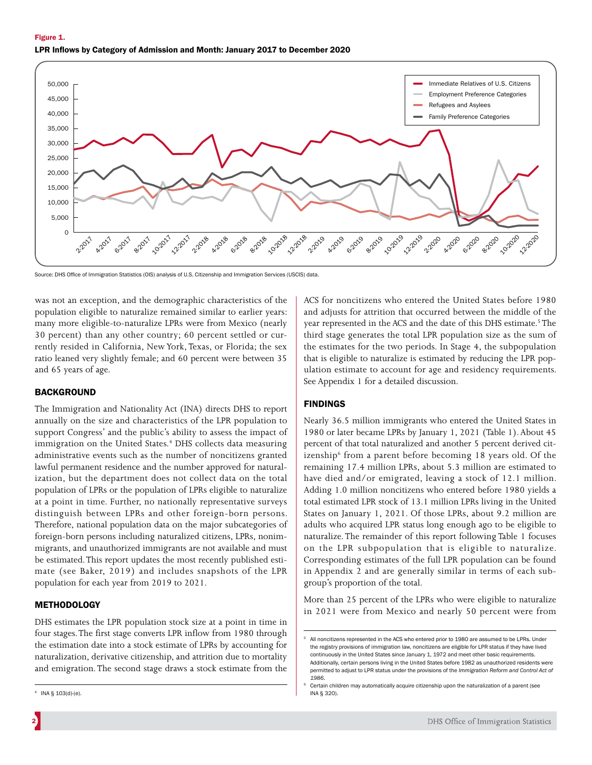

Source: DHS Office of Immigration Statistics (OIS) analysis of U.S. Citizenship and Immigration Services (USCIS) data

was not an exception, and the demographic characteristics of the population eligible to naturalize remained similar to earlier years: many more eligible-to-naturalize LPRs were from Mexico (nearly 30 percent) than any other country; 60 percent settled or currently resided in California, New York, Texas, or Florida; the sex ratio leaned very slightly female; and 60 percent were between 35 and 65 years of age.

# BACKGROUND

The Immigration and Nationality Act (INA) directs DHS to report annually on the size and characteristics of the LPR population to support Congress' and the public's ability to assess the impact of immigration on the United States.<sup>4</sup> DHS collects data measuring administrative events such as the number of noncitizens granted lawful permanent residence and the number approved for naturalization, but the department does not collect data on the total population of LPRs or the population of LPRs eligible to naturalize at a point in time. Further, no nationally representative surveys distinguish between LPRs and other foreign-born persons. Therefore, national population data on the major subcategories of foreign-born persons including naturalized citizens, LPRs, nonimmigrants, and unauthorized immigrants are not available and must be estimated. This report updates the most recently published estimate (see Baker, 2019) and includes snapshots of the LPR population for each year from 2019 to 2021.

# **METHODOLOGY**

DHS estimates the LPR population stock size at a point in time in four stages. The first stage converts LPR inflow from 1980 through the estimation date into a stock estimate of LPRs by accounting for naturalization, derivative citizenship, and attrition due to mortality and emigration. The second stage draws a stock estimate from the

ACS for noncitizens who entered the United States before 1980 and adjusts for attrition that occurred between the middle of the year represented in the ACS and the date of this DHS estimate.<sup>5</sup> The third stage generates the total LPR population size as the sum of the estimates for the two periods. In Stage 4, the subpopulation that is eligible to naturalize is estimated by reducing the LPR population estimate to account for age and residency requirements. See Appendix 1 for a detailed discussion.

# FINDINGS

Nearly 36.5 million immigrants who entered the United States in 1980 or later became LPRs by January 1, 2021 (Table 1). About 45 percent of that total naturalized and another 5 percent derived citizenship<sup>6</sup> from a parent before becoming 18 years old. Of the remaining 17.4 million LPRs, about 5.3 million are estimated to have died and/or emigrated, leaving a stock of 12.1 million. Adding 1.0 million noncitizens who entered before 1980 yields a total estimated LPR stock of 13.1 million LPRs living in the United States on January 1, 2021. Of those LPRs, about 9.2 million are adults who acquired LPR status long enough ago to be eligible to naturalize. The remainder of this report following Table 1 focuses on the LPR subpopulation that is eligible to naturalize. Corresponding estimates of the full LPR population can be found in Appendix 2 and are generally similar in terms of each subgroup's proportion of the total.

More than 25 percent of the LPRs who were eligible to naturalize in 2021 were from Mexico and nearly 50 percent were from

 $4$  INA § 103(d)-(e).

All noncitizens represented in the ACS who entered prior to 1980 are assumed to be LPRs. Under the registry provisions of immigration law, noncitizens are eligible for LPR status if they have lived continuously in the United States since January 1, 1972 and meet other basic requirements. Additionally, certain persons living in the United States before 1982 as unauthorized residents were permitted to adjust to LPR status under the provisions of the *Immigration Reform and Control Act of 1986*.

Certain children may automatically acquire citizenship upon the naturalization of a parent (see INA § 320).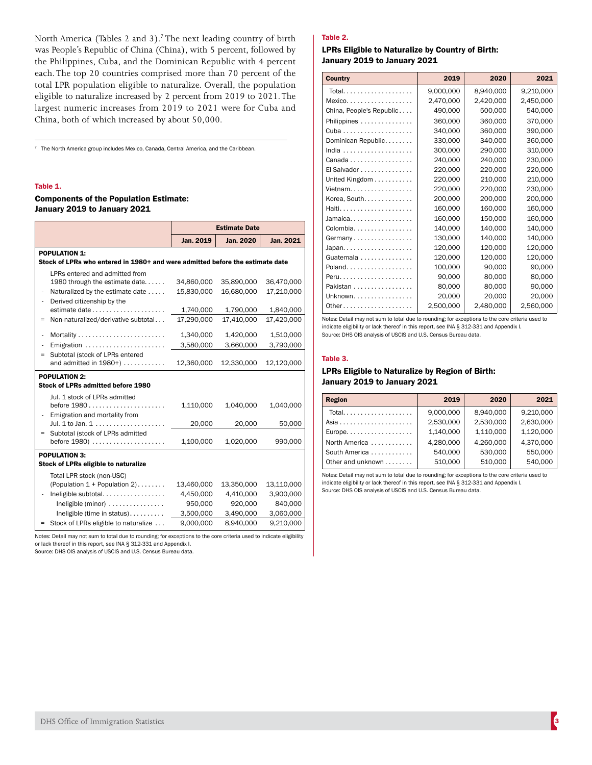North America (Tables 2 and 3).<sup>7</sup> The next leading country of birth was People's Republic of China (China), with 5 percent, followed by the Philippines, Cuba, and the Dominican Republic with 4 percent each. The top 20 countries comprised more than 70 percent of the total LPR population eligible to naturalize. Overall, the population eligible to naturalize increased by 2 percent from 2019 to 2021. The largest numeric increases from 2019 to 2021 were for Cuba and China, both of which increased by about 50,000.

 $7$  The North America group includes Mexico, Canada, Central America, and the Caribbean.

### Table 1.

## Components of the Population Estimate: January 2019 to January 2021

|                               |                                                                                                                                                                                                              | <b>Estimate Date</b>                                         |                                                              |                                                              |  |
|-------------------------------|--------------------------------------------------------------------------------------------------------------------------------------------------------------------------------------------------------------|--------------------------------------------------------------|--------------------------------------------------------------|--------------------------------------------------------------|--|
|                               |                                                                                                                                                                                                              | Jan. 2019                                                    | <b>Jan. 2020</b>                                             | Jan. 2021                                                    |  |
|                               | <b>POPULATION 1:</b>                                                                                                                                                                                         |                                                              |                                                              |                                                              |  |
|                               | Stock of LPRs who entered in 1980+ and were admitted before the estimate date                                                                                                                                |                                                              |                                                              |                                                              |  |
| ÷<br>$\overline{\phantom{m}}$ | LPRs entered and admitted from<br>1980 through the estimate date<br>Naturalized by the estimate date<br>Derived citizenship by the                                                                           | 34,860,000<br>15,830,000                                     | 35,890,000<br>16,680,000                                     | 36,470,000<br>17,210,000                                     |  |
|                               |                                                                                                                                                                                                              | 1,740,000                                                    | 1,790,000                                                    | 1,840,000                                                    |  |
| $=$                           | Non-naturalized/derivative subtotal                                                                                                                                                                          | 17.290.000                                                   | 17.410.000                                                   | 17,420,000                                                   |  |
| $\overline{\phantom{m}}$      |                                                                                                                                                                                                              | 1,340,000                                                    | 1,420,000                                                    | 1,510,000                                                    |  |
| L,                            | Emigration                                                                                                                                                                                                   | 3,580,000                                                    | 3,660,000                                                    | 3,790,000                                                    |  |
| $=$                           | Subtotal (stock of LPRs entered<br>and admitted in 1980+)                                                                                                                                                    | 12,360,000                                                   | 12,330,000                                                   | 12,120,000                                                   |  |
|                               | <b>POPULATION 2:</b><br>Stock of LPRs admitted before 1980                                                                                                                                                   |                                                              |                                                              |                                                              |  |
| $\overline{\phantom{m}}$      | Jul. 1 stock of LPRs admitted<br>Emigration and mortality from                                                                                                                                               | 1,110,000                                                    | 1,040,000                                                    | 1,040,000                                                    |  |
|                               | Jul. 1 to Jan. 1                                                                                                                                                                                             | 20,000                                                       | 20,000                                                       | 50,000                                                       |  |
| $=$                           | Subtotal (stock of LPRs admitted<br>before $1980)$                                                                                                                                                           | 1,100,000                                                    | 1,020,000                                                    | 990,000                                                      |  |
|                               | <b>POPULATION 3:</b><br>Stock of LPRs eligible to naturalize                                                                                                                                                 |                                                              |                                                              |                                                              |  |
| $\overline{\phantom{m}}$      | Total LPR stock (non-USC)<br>(Population 1 + Population 2)<br>Ineligible subtotal<br>Ineligible (minor) $\dots\dots\dots\dots\dots$<br>Ineligible (time in status)<br>= Stock of LPRs eligible to naturalize | 13,460,000<br>4,450,000<br>950,000<br>3,500,000<br>9,000,000 | 13,350,000<br>4,410,000<br>920,000<br>3,490,000<br>8,940,000 | 13,110,000<br>3,900,000<br>840,000<br>3,060,000<br>9,210,000 |  |

Notes: Detail may not sum to total due to rounding; for exceptions to the core criteria used to indicate eligibility or lack thereof in this report, see INA § 312-331 and Appendix I.

Source: DHS OIS analysis of USCIS and U.S. Census Bureau data.

# Table 2.

### LPRs Eligible to Naturalize by Country of Birth: January 2019 to January 2021

| <b>Country</b>                                 | 2019      | 2020      | 2021      |
|------------------------------------------------|-----------|-----------|-----------|
| Total                                          | 9,000,000 | 8,940,000 | 9,210,000 |
| $Mexico$                                       | 2,470,000 | 2,420,000 | 2,450,000 |
| China, People's Republic                       | 490,000   | 500,000   | 540,000   |
| Philippines                                    | 360,000   | 360.000   | 370.000   |
|                                                | 340.000   | 360,000   | 390,000   |
| Dominican Republic                             | 330,000   | 340,000   | 360,000   |
|                                                | 300,000   | 290,000   | 310,000   |
| Canada                                         | 240.000   | 240.000   | 230,000   |
| El Salvador                                    | 220,000   | 220,000   | 220,000   |
| United Kingdom                                 | 220,000   | 210.000   | 210,000   |
| Vietnam                                        | 220,000   | 220,000   | 230,000   |
| Korea, South.                                  | 200,000   | 200,000   | 200,000   |
| Haiti                                          | 160,000   | 160,000   | 160,000   |
| Jamaica                                        | 160,000   | 150,000   | 160,000   |
| Colombia                                       | 140,000   | 140,000   | 140,000   |
| Germany                                        | 130,000   | 140,000   | 140,000   |
|                                                | 120,000   | 120,000   | 120,000   |
| Guatemala                                      | 120,000   | 120,000   | 120,000   |
|                                                | 100,000   | 90.000    | 90.000    |
| $Peru, \ldots, \ldots, \ldots, \ldots, \ldots$ | 90,000    | 80,000    | 80,000    |
| Pakistan                                       | 80,000    | 80,000    | 90,000    |
| Unknown                                        | 20,000    | 20,000    | 20,000    |
| Other                                          | 2,500,000 | 2,480,000 | 2,560,000 |

Notes: Detail may not sum to total due to rounding; for exceptions to the core criteria used to indicate eligibility or lack thereof in this report, see INA § 312-331 and Appendix I. Source: DHS OIS analysis of USCIS and U.S. Census Bureau data.

#### Table 3.

# LPRs Eligible to Naturalize by Region of Birth: January 2019 to January 2021

| <b>Region</b>                                    | 2019      | 2020      | 2021      |
|--------------------------------------------------|-----------|-----------|-----------|
| Total                                            | 9,000,000 | 8.940.000 | 9,210,000 |
| Asia $\ldots \ldots \ldots \ldots \ldots \ldots$ | 2,530,000 | 2,530,000 | 2,630,000 |
| $Europe. \ldots \ldots \ldots \ldots \ldots$     | 1,140,000 | 1,110,000 | 1,120,000 |
| North America                                    | 4,280,000 | 4,260,000 | 4.370.000 |
| South America                                    | 540.000   | 530,000   | 550,000   |
| Other and unknown                                | 510.000   | 510.000   | 540,000   |

Notes: Detail may not sum to total due to rounding; for exceptions to the core criteria used to indicate eligibility or lack thereof in this report, see INA § 312-331 and Appendix I. Source: DHS OIS analysis of USCIS and U.S. Census Bureau data.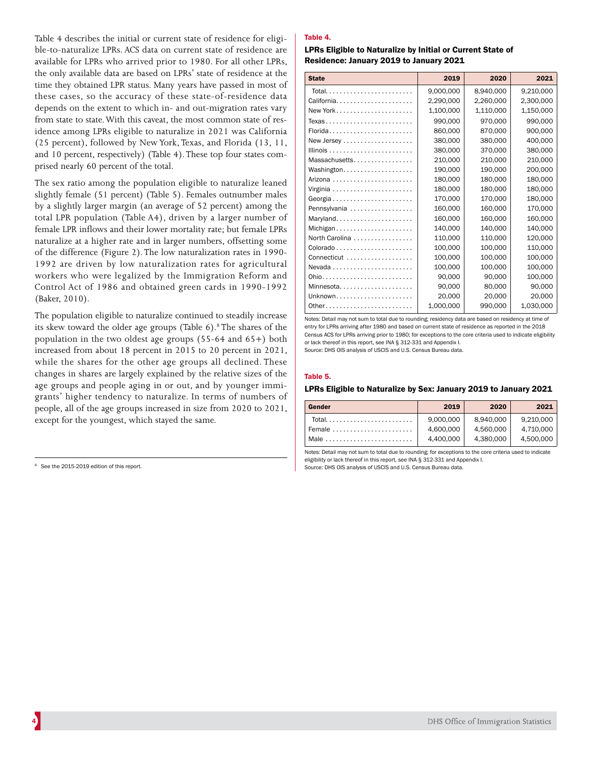Table 4 describes the initial or current state of residence for eligible-to-naturalize LPRs. ACS data on current state of residence are available for LPRs who arrived prior to 1980. For all other LPRs, the only available data are based on LPRs' state of residence at the time they obtained LPR status. Many years have passed in most of these cases, so the accuracy of these state-of-residence data depends on the extent to which in- and out-migration rates vary from state to state. With this caveat, the most common state of residence among LPRs eligible to naturalize in 2021 was California (25 percent), followed by New York, Texas, and Florida (13, 11, and 10 percent, respectively) (Table 4). These top four states comprised nearly 60 percent of the total.

The sex ratio among the population eligible to naturalize leaned slightly female (51 percent) (Table 5). Females outnumber males by a slightly larger margin (an average of 52 percent) among the total LPR population (Table A4), driven by a larger number of female LPR inflows and their lower mortality rate; but female LPRs naturalize at a higher rate and in larger numbers, offsetting some of the difference (Figure 2). The low naturalization rates in 1990- 1992 are driven by low naturalization rates for agricultural workers who were legalized by the Immigration Reform and Control Act of 1986 and obtained green cards in 1990-1992 (Baker, 2010).

The population eligible to naturalize continued to steadily increase its skew toward the older age groups (Table 6).<sup>8</sup> The shares of the population in the two oldest age groups (55-64 and 65+) both increased from about 18 percent in 2015 to 20 percent in 2021, while the shares for the other age groups all declined. These changes in shares are largely explained by the relative sizes of the age groups and people aging in or out, and by younger immigrants' higher tendency to naturalize. In terms of numbers of people, all of the age groups increased in size from 2020 to 2021, except for the youngest, which stayed the same.

## Table 4.

LPRs Eligible to Naturalize by Initial or Current State of Residence: January 2019 to January 2021

| <b>State</b>   | 2019      | 2020      | 2021      |
|----------------|-----------|-----------|-----------|
| Total          | 9,000,000 | 8,940,000 | 9,210,000 |
| California     | 2,290,000 | 2,260,000 | 2,300,000 |
| New York       | 1,100,000 | 1,110,000 | 1,150,000 |
| Texas          | 990,000   | 970,000   | 990,000   |
| Florida        | 860,000   | 870,000   | 900,000   |
|                | 380,000   | 380,000   | 400,000   |
|                | 380,000   | 370,000   | 380,000   |
| Massachusetts  | 210.000   | 210.000   | 210,000   |
| Washington     | 190,000   | 190,000   | 200,000   |
|                | 180,000   | 180,000   | 180,000   |
|                | 180,000   | 180,000   | 180,000   |
|                | 170,000   | 170,000   | 180,000   |
| Pennsylvania   | 160,000   | 160.000   | 170,000   |
| Maryland       | 160,000   | 160.000   | 160.000   |
| Michigan       | 140,000   | 140,000   | 140,000   |
| North Carolina | 110,000   | 110,000   | 120,000   |
|                | 100,000   | 100,000   | 110,000   |
| Connecticut    | 100,000   | 100,000   | 100,000   |
| Nevada         | 100,000   | 100.000   | 100,000   |
| Ohio           | 90.000    | 90.000    | 100.000   |
| Minnesota      | 90,000    | 80,000    | 90,000    |
| Unknown        | 20,000    | 20,000    | 20,000    |
| 0ther          | 1,000,000 | 990,000   | 1,030,000 |

Notes: Detail may not sum to total due to rounding; residency data are based on residency at time of entry for LPRs arriving after 1980 and based on current state of residence as reported in the 2018 Census ACS for LPRs arriving prior to 1980; for exceptions to the core criteria used to indicate eligibility or lack thereof in this report, see INA § 312-331 and Appendix I.

Source: DHS OIS analysis of USCIS and U.S. Census Bureau data.

#### Table 5.

#### LPRs Eligible to Naturalize by Sex: January 2019 to January 2021

| Gender | 2019                   | 2020                   | 2021                   |
|--------|------------------------|------------------------|------------------------|
| Total  | 9,000,000<br>4,600,000 | 8.940.000<br>4.560.000 | 9.210.000<br>4.710.000 |
|        | 4,400,000              | 4.380.000              | 4.500.000              |

Notes: Detail may not sum to total due to rounding; for exceptions to the core criteria used to indicate eligibility or lack thereof in this report, see INA § 312-331 and Appendix I.

Source: DHS OIS analysis of USCIS and U.S. Census Bureau data.

<sup>&</sup>lt;sup>8</sup> See the 2015-2019 edition of this report.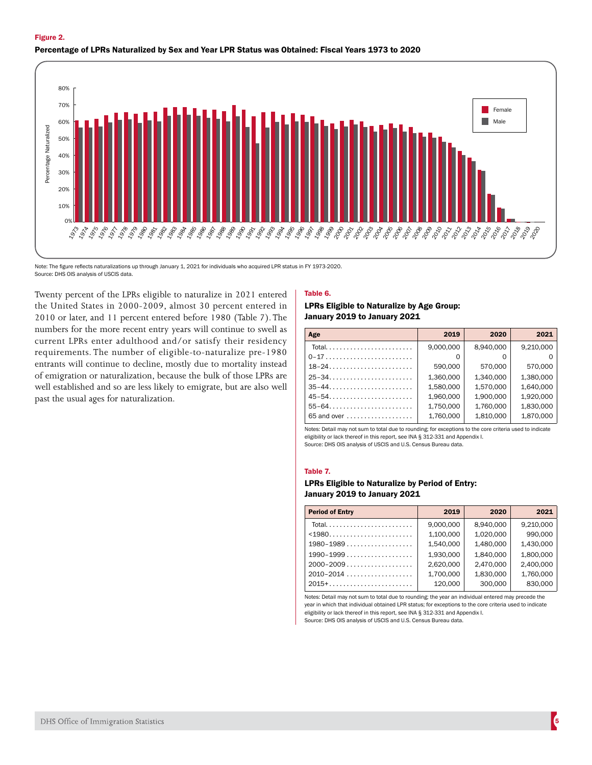



Note: The figure reflects naturalizations up through January 1, 2021 for individuals who acquired LPR status in FY 1973-2020. Source: DHS OIS analysis of USCIS data.

Twenty percent of the LPRs eligible to naturalize in 2021 entered the United States in 2000-2009, almost 30 percent entered in 2010 or later, and 11 percent entered before 1980 (Table 7). The numbers for the more recent entry years will continue to swell as current LPRs enter adulthood and/or satisfy their residency requirements. The number of eligible-to-naturalize pre-1980 entrants will continue to decline, mostly due to mortality instead of emigration or naturalization, because the bulk of those LPRs are well established and so are less likely to emigrate, but are also well past the usual ages for naturalization.

#### Table 6.

## LPRs Eligible to Naturalize by Age Group: January 2019 to January 2021

| Age                                                        | 2019      | 2020      | 2021      |
|------------------------------------------------------------|-----------|-----------|-----------|
| Total                                                      | 9,000,000 | 8.940.000 | 9,210,000 |
| 0-17                                                       |           |           |           |
| $18-24$                                                    | 590,000   | 570,000   | 570,000   |
|                                                            | 1.360.000 | 1.340.000 | 1.380.000 |
| $35 - 44$                                                  | 1,580,000 | 1,570,000 | 1,640,000 |
| $45 - 54$                                                  | 1,960,000 | 1,900,000 | 1,920,000 |
| $55 - 64 \ldots \ldots \ldots \ldots \ldots \ldots \ldots$ | 1,750,000 | 1,760,000 | 1,830,000 |
| $65$ and over $\ldots \ldots \ldots \ldots \ldots$         | 1.760.000 | 1,810,000 | 1,870,000 |

Notes: Detail may not sum to total due to rounding; for exceptions to the core criteria used to indicate eligibility or lack thereof in this report, see INA § 312-331 and Appendix I. Source: DHS OIS analysis of USCIS and U.S. Census Bureau data.

#### Table 7.

# LPRs Eligible to Naturalize by Period of Entry: January 2019 to January 2021

| <b>Period of Entry</b>             | 2019      | 2020      | 2021      |
|------------------------------------|-----------|-----------|-----------|
|                                    | 9,000,000 | 8,940,000 | 9,210,000 |
| $1980$                             | 1,100,000 | 1,020,000 | 990,000   |
| $1980 - 1989 \ldots \ldots \ldots$ | 1,540,000 | 1,480,000 | 1,430,000 |
| $1990 - 1999$                      | 1.930.000 | 1.840.000 | 1,800,000 |
| $2000 - 2009$                      | 2,620,000 | 2,470,000 | 2,400,000 |
| $2010 - 2014$                      | 1,700,000 | 1,830,000 | 1,760,000 |
| $2015 + \ldots$                    | 120.000   | 300,000   | 830,000   |

Notes: Detail may not sum to total due to rounding; the year an individual entered may precede the year in which that individual obtained LPR status; for exceptions to the core criteria used to indicate eligibility or lack thereof in this report, see INA § 312-331 and Appendix I. Source: DHS OIS analysis of USCIS and U.S. Census Bureau data.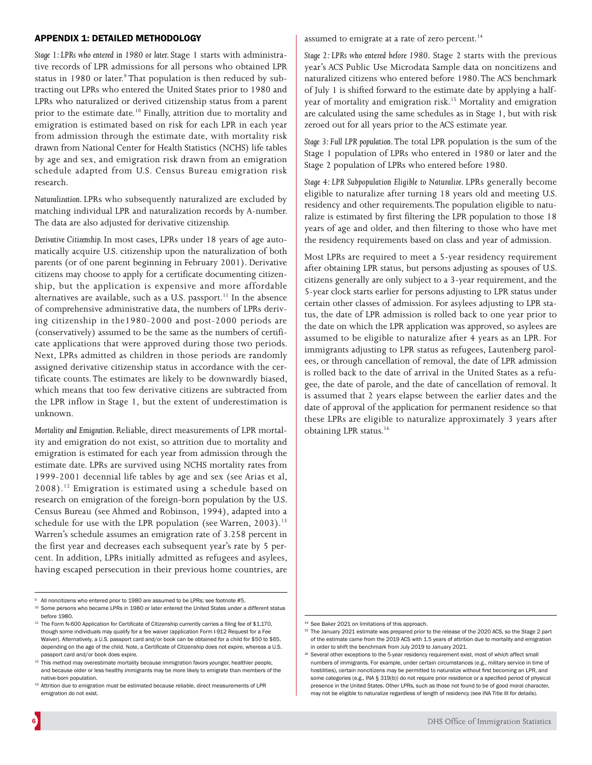## APPENDIX 1: DETAILED METHODOLOGY

*Stage 1: LPRs who entered in 1980 or later.* Stage 1 starts with administrative records of LPR admissions for all persons who obtained LPR status in 1980 or later.<sup>9</sup> That population is then reduced by subtracting out LPRs who entered the United States prior to 1980 and LPRs who naturalized or derived citizenship status from a parent prior to the estimate date.<sup>10</sup> Finally, attrition due to mortality and emigration is estimated based on risk for each LPR in each year from admission through the estimate date, with mortality risk drawn from National Center for Health Statistics (NCHS) life tables by age and sex, and emigration risk drawn from an emigration schedule adapted from U.S. Census Bureau emigration risk research.

*Naturalization.* LPRs who subsequently naturalized are excluded by matching individual LPR and naturalization records by A-number. The data are also adjusted for derivative citizenship.

*Derivative Citizenship.* In most cases, LPRs under 18 years of age automatically acquire U.S. citizenship upon the naturalization of both parents (or of one parent beginning in February 2001). Derivative citizens may choose to apply for a certificate documenting citizenship, but the application is expensive and more affordable alternatives are available, such as a U.S. passport.<sup>11</sup> In the absence of comprehensive administrative data, the numbers of LPRs deriving citizenship in the1980-2000 and post-2000 periods are (conservatively) assumed to be the same as the numbers of certificate applications that were approved during those two periods. Next, LPRs admitted as children in those periods are randomly assigned derivative citizenship status in accordance with the certificate counts. The estimates are likely to be downwardly biased, which means that too few derivative citizens are subtracted from the LPR inflow in Stage 1, but the extent of underestimation is unknown.

*Mortality and Emigration.* Reliable, direct measurements of LPR mortality and emigration do not exist, so attrition due to mortality and emigration is estimated for each year from admission through the estimate date. LPRs are survived using NCHS mortality rates from 1999-2001 decennial life tables by age and sex (see Arias et al, 2008).12 Emigration is estimated using a schedule based on research on emigration of the foreign-born population by the U.S. Census Bureau (see Ahmed and Robinson, 1994), adapted into a schedule for use with the LPR population (see Warren,  $2003$ ).<sup>13</sup> Warren's schedule assumes an emigration rate of 3.258 percent in the first year and decreases each subsequent year's rate by 5 percent. In addition, LPRs initially admitted as refugees and asylees, having escaped persecution in their previous home countries, are

<sup>9</sup> All noncitizens who entered prior to 1980 are assumed to be LPRs; see footnote #5.

assumed to emigrate at a rate of zero percent.<sup>14</sup>

*Stage 2: LPRs who entered before 1980.* Stage 2 starts with the previous year's ACS Public Use Microdata Sample data on noncitizens and naturalized citizens who entered before 1980. The ACS benchmark of July 1 is shifted forward to the estimate date by applying a halfyear of mortality and emigration risk.<sup>15</sup> Mortality and emigration are calculated using the same schedules as in Stage 1, but with risk zeroed out for all years prior to the ACS estimate year.

*Stage 3: Full LPR population*. The total LPR population is the sum of the Stage 1 population of LPRs who entered in 1980 or later and the Stage 2 population of LPRs who entered before 1980.

*Stage 4: LPR Subpopulation Eligible to Naturalize.* LPRs generally become eligible to naturalize after turning 18 years old and meeting U.S. residency and other requirements.The population eligible to naturalize is estimated by first filtering the LPR population to those 18 years of age and older, and then filtering to those who have met the residency requirements based on class and year of admission.

Most LPRs are required to meet a 5-year residency requirement after obtaining LPR status, but persons adjusting as spouses of U.S. citizens generally are only subject to a 3-year requirement, and the 5-year clock starts earlier for persons adjusting to LPR status under certain other classes of admission. For asylees adjusting to LPR status, the date of LPR admission is rolled back to one year prior to the date on which the LPR application was approved, so asylees are assumed to be eligible to naturalize after 4 years as an LPR. For immigrants adjusting to LPR status as refugees, Lautenberg parolees, or through cancellation of removal, the date of LPR admission is rolled back to the date of arrival in the United States as a refugee, the date of parole, and the date of cancellation of removal. It is assumed that 2 years elapse between the earlier dates and the date of approval of the application for permanent residence so that these LPRs are eligible to naturalize approximately 3 years after obtaining LPR status.16

<sup>10</sup> Some persons who became LPRs in 1980 or later entered the United States under a different status before 1980.

<sup>&</sup>lt;sup>11</sup> The Form N-600 Application for Certificate of Citizenship currently carries a filing fee of \$1,170, though some individuals may qualify for a fee waiver (application Form I-912 Request for a Fee Waiver). Alternatively, a U.S. passport card and/or book can be obtained for a child for \$50 to \$65, depending on the age of the child. Note, a Certificate of Citizenship does not expire, whereas a U.S. passport card and/or book does expire.

<sup>&</sup>lt;sup>12</sup> This method may overestimate mortality because immigration favors younger, healthier people, and because older or less healthy immigrants may be more likely to emigrate than members of the native-born population.

<sup>&</sup>lt;sup>13</sup> Attrition due to emigration must be estimated because reliable, direct measurements of LPR emigration do not exist.

<sup>&</sup>lt;sup>14</sup> See Baker 2021 on limitations of this approach.

<sup>&</sup>lt;sup>15</sup> The January 2021 estimate was prepared prior to the release of the 2020 ACS, so the Stage 2 part of the estimate came from the 2019 ACS with 1.5 years of attrition due to mortality and emigration in order to shift the benchmark from July 2019 to January 2021.

<sup>&</sup>lt;sup>16</sup> Several other exceptions to the 5-year residency requirement exist, most of which affect small numbers of immigrants. For example, under certain circumstances (e.g., military service in time of hostilities), certain noncitizens may be permitted to naturalize without first becoming an LPR, and some categories (e.g., INA § 319(b)) do not require prior residence or a specified period of physical presence in the United States. Other LPRs, such as those not found to be of good moral character, may not be eligible to naturalize regardless of length of residency (see INA Title III for details).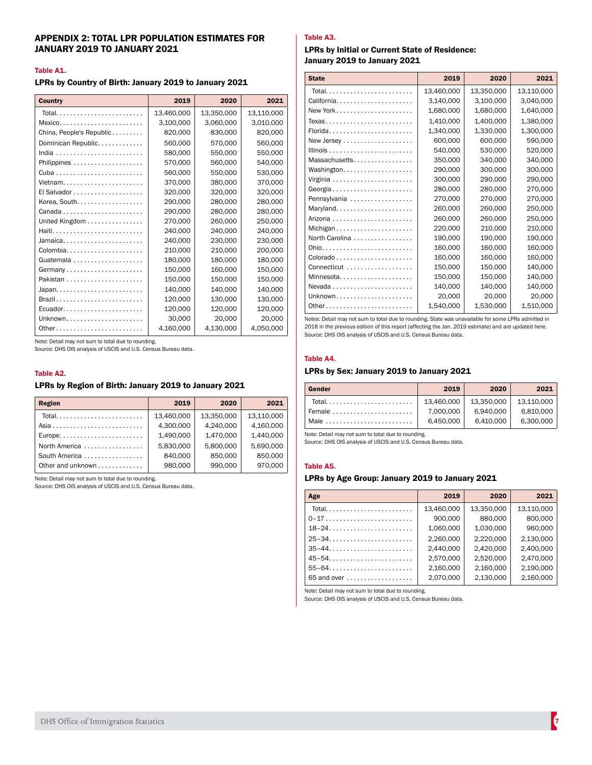# APPENDIX 2: TOTAL LPR POPULATION ESTIMATES FOR JANUARY 2019 TO JANUARY 2021

#### Table A1.

LPRs by Country of Birth: January 2019 to January 2021

| <b>Country</b>           | 2019       | 2020       | 2021       |
|--------------------------|------------|------------|------------|
|                          | 13,460,000 | 13,350,000 | 13,110,000 |
| $Mexico$                 | 3,100,000  | 3,060,000  | 3,010,000  |
| China, People's Republic | 820,000    | 830,000    | 820,000    |
| Dominican Republic.      | 560,000    | 570,000    | 560,000    |
|                          | 580.000    | 550.000    | 550.000    |
|                          | 570,000    | 560,000    | 540,000    |
|                          | 560,000    | 550,000    | 530,000    |
| Vietnam                  | 370.000    | 380,000    | 370.000    |
| El Salvador              | 320,000    | 320,000    | 320,000    |
| Korea, South.            | 290.000    | 280.000    | 280.000    |
|                          | 290,000    | 280,000    | 280,000    |
| United Kingdom           | 270,000    | 260,000    | 250,000    |
| Haiti                    | 240.000    | 240.000    | 240,000    |
| Jamaica                  | 240,000    | 230,000    | 230,000    |
| Colombia                 | 210.000    | 210.000    | 200.000    |
| Guatemala                | 180.000    | 180.000    | 180.000    |
| Germany                  | 150,000    | 160,000    | 150,000    |
| Pakistan                 | 150.000    | 150.000    | 150.000    |
|                          | 140,000    | 140,000    | 140,000    |
| Brazil                   | 120.000    | 130.000    | 130.000    |
| Ecuador                  | 120.000    | 120,000    | 120,000    |
| Unknown                  | 30,000     | 20,000     | 20,000     |
| Other                    | 4,160,000  | 4,130,000  | 4,050,000  |

Note: Detail may not sum to total due to rounding.

Source: DHS OIS analysis of USCIS and U.S. Census Bureau data.

#### Table A2.

## LPRs by Region of Birth: January 2019 to January 2021

| <b>Region</b>                                       | 2019       | 2020       | 2021       |
|-----------------------------------------------------|------------|------------|------------|
| Total                                               | 13.460.000 | 13.350.000 | 13,110,000 |
|                                                     | 4,300,000  | 4,240,000  | 4,160,000  |
| $Europe. \ldots \ldots \ldots \ldots \ldots \ldots$ | 1,490,000  | 1,470,000  | 1,440,000  |
| North America                                       | 5,830,000  | 5,800,000  | 5,690,000  |
| South America                                       | 840,000    | 850,000    | 850,000    |
| Other and unknown                                   | 980,000    | 990,000    | 970,000    |

Note: Detail may not sum to total due to rounding.

Source: DHS OIS analysis of USCIS and U.S. Census Bureau data.

# Table A3.

### LPRs by Initial or Current State of Residence: January 2019 to January 2021

| <b>State</b>                                                | 2019       | 2020       | 2021       |
|-------------------------------------------------------------|------------|------------|------------|
| Total                                                       | 13,460,000 | 13,350,000 | 13,110,000 |
| California                                                  | 3,140,000  | 3,100,000  | 3,040,000  |
| New York                                                    | 1,680,000  | 1,680,000  | 1,640,000  |
| Texas                                                       | 1.410.000  | 1,400,000  | 1.380.000  |
| Florida                                                     | 1,340,000  | 1,330,000  | 1,300,000  |
|                                                             | 600,000    | 600,000    | 590,000    |
| Illinois $\ldots \ldots \ldots \ldots \ldots \ldots \ldots$ | 540,000    | 530,000    | 520,000    |
| Massachusetts                                               | 350,000    | 340,000    | 340,000    |
| Washington                                                  | 290,000    | 300,000    | 300,000    |
|                                                             | 300,000    | 290,000    | 290,000    |
|                                                             | 280,000    | 280,000    | 270,000    |
| Pennsylvania                                                | 270,000    | 270,000    | 270,000    |
| Maryland                                                    | 260,000    | 260,000    | 250,000    |
|                                                             | 260,000    | 260,000    | 250,000    |
| Michigan                                                    | 220,000    | 210.000    | 210,000    |
| North Carolina                                              | 190,000    | 190,000    | 190,000    |
|                                                             | 160,000    | 160,000    | 160,000    |
|                                                             | 160,000    | 160,000    | 160,000    |
| Connecticut                                                 | 150,000    | 150.000    | 140,000    |
| Minnesota                                                   | 150,000    | 150,000    | 140,000    |
| $N$ evada                                                   | 140,000    | 140,000    | 140,000    |
| Unknown                                                     | 20,000     | 20,000     | 20,000     |
| Other                                                       | 1,540,000  | 1,530,000  | 1,510,000  |

Notes: Detail may not sum to total due to rounding. State was unavailable for some LPRs admitted in 2018 in the previous edition of this report (affecting the Jan. 2019 estimate) and are updated here. Source: DHS OIS analysis of USCIS and U.S. Census Bureau data.

#### Table A4.

## LPRs by Sex: January 2019 to January 2021

| Gender                                             | 2019       | 2020       | 2021       |
|----------------------------------------------------|------------|------------|------------|
|                                                    | 13.460.000 | 13.350.000 | 13.110.000 |
| Female $\ldots \ldots \ldots \ldots \ldots \ldots$ | 7.000.000  | 6.940.000  | 6,810,000  |
|                                                    | 6.450.000  | 6.410.000  | 6.300.000  |

Note: Detail may not sum to total due to rounding.

Source: DHS OIS analysis of USCIS and U.S. Census Bureau data.

#### Table A5.

# LPRs by Age Group: January 2019 to January 2021

| Age                                                        | 2019       | 2020       | 2021       |
|------------------------------------------------------------|------------|------------|------------|
| Total                                                      | 13,460,000 | 13,350,000 | 13,110,000 |
| $0-17$                                                     | 900,000    | 880,000    | 800,000    |
| $18 - 24$                                                  | 1,060,000  | 1,030,000  | 960,000    |
| $25 - 34$                                                  | 2,260,000  | 2.220.000  | 2,130,000  |
| $35 - 44$                                                  | 2.440.000  | 2.420.000  | 2,400,000  |
| $45 - 54$                                                  | 2,570,000  | 2,520,000  | 2,470,000  |
| $55 - 64 \ldots \ldots \ldots \ldots \ldots \ldots \ldots$ | 2,160,000  | 2,160,000  | 2,190,000  |
| 65 and over                                                | 2.070.000  | 2,130,000  | 2,160,000  |

Note: Detail may not sum to total due to rounding.

Source: DHS OIS analysis of USCIS and U.S. Census Bureau data.